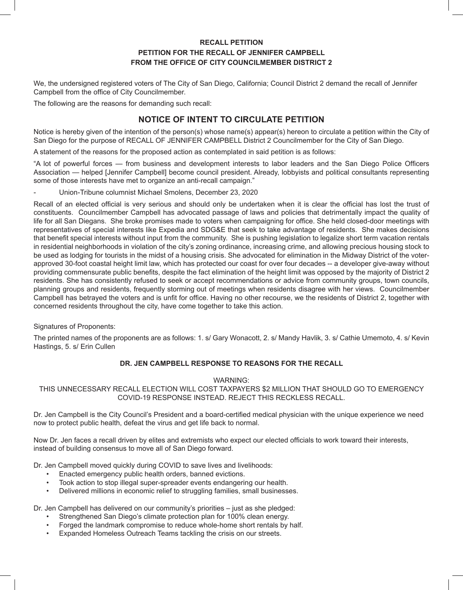## **RECALL PETITION PETITION FOR THE RECALL OF JENNIFER CAMPBELL FROM THE OFFICE OF CITY COUNCILMEMBER DISTRICT 2**

We, the undersigned registered voters of The City of San Diego, California; Council District 2 demand the recall of Jennifer Campbell from the office of City Councilmember.

The following are the reasons for demanding such recall:

# **NOTICE OF INTENT TO CIRCULATE PETITION**

Notice is hereby given of the intention of the person(s) whose name(s) appear(s) hereon to circulate a petition within the City of San Diego for the purpose of RECALL OF JENNIFER CAMPBELL District 2 Councilmember for the City of San Diego.

A statement of the reasons for the proposed action as contemplated in said petition is as follows:

"A lot of powerful forces — from business and development interests to labor leaders and the San Diego Police Officers Association — helped [Jennifer Campbell] become council president. Already, lobbyists and political consultants representing some of those interests have met to organize an anti-recall campaign."

- Union-Tribune columnist Michael Smolens, December 23, 2020

Recall of an elected official is very serious and should only be undertaken when it is clear the official has lost the trust of constituents. Councilmember Campbell has advocated passage of laws and policies that detrimentally impact the quality of life for all San Diegans. She broke promises made to voters when campaigning for office. She held closed-door meetings with representatives of special interests like Expedia and SDG&E that seek to take advantage of residents. She makes decisions that benefit special interests without input from the community. She is pushing legislation to legalize short term vacation rentals in residential neighborhoods in violation of the city's zoning ordinance, increasing crime, and allowing precious housing stock to be used as lodging for tourists in the midst of a housing crisis. She advocated for elimination in the Midway District of the voterapproved 30-foot coastal height limit law, which has protected our coast for over four decades -- a developer give-away without providing commensurate public benefits, despite the fact elimination of the height limit was opposed by the majority of District 2 residents. She has consistently refused to seek or accept recommendations or advice from community groups, town councils, planning groups and residents, frequently storming out of meetings when residents disagree with her views. Councilmember Campbell has betrayed the voters and is unfit for office. Having no other recourse, we the residents of District 2, together with concerned residents throughout the city, have come together to take this action.

#### Signatures of Proponents:

The printed names of the proponents are as follows: 1. s/ Gary Wonacott, 2. s/ Mandy Havlik, 3. s/ Cathie Umemoto, 4. s/ Kevin Hastings, 5. s/ Erin Cullen

## **DR. JEN CAMPBELL RESPONSE TO REASONS FOR THE RECALL**

#### WARNING:

THIS UNNECESSARY RECALL ELECTION WILL COST TAXPAYERS \$2 MILLION THAT SHOULD GO TO EMERGENCY COVID-19 RESPONSE INSTEAD. REJECT THIS RECKLESS RECALL.

Dr. Jen Campbell is the City Council's President and a board-certified medical physician with the unique experience we need now to protect public health, defeat the virus and get life back to normal.

Now Dr. Jen faces a recall driven by elites and extremists who expect our elected officials to work toward their interests, instead of building consensus to move all of San Diego forward.

Dr. Jen Campbell moved quickly during COVID to save lives and livelihoods:

- Enacted emergency public health orders, banned evictions.
- Took action to stop illegal super-spreader events endangering our health.
- Delivered millions in economic relief to struggling families, small businesses.

Dr. Jen Campbell has delivered on our community's priorities – just as she pledged:

- Strengthened San Diego's climate protection plan for 100% clean energy.
- Forged the landmark compromise to reduce whole-home short rentals by half.
- Expanded Homeless Outreach Teams tackling the crisis on our streets.